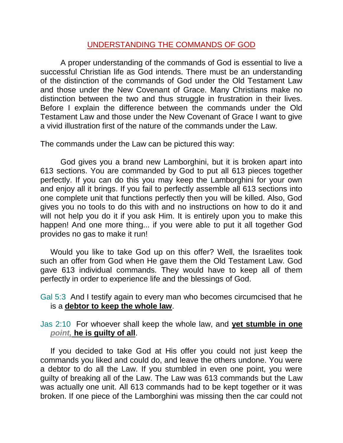## UNDERSTANDING THE COMMANDS OF GOD

A proper understanding of the commands of God is essential to live a successful Christian life as God intends. There must be an understanding of the distinction of the commands of God under the Old Testament Law and those under the New Covenant of Grace. Many Christians make no distinction between the two and thus struggle in frustration in their lives. Before I explain the difference between the commands under the Old Testament Law and those under the New Covenant of Grace I want to give a vivid illustration first of the nature of the commands under the Law.

The commands under the Law can be pictured this way:

God gives you a brand new Lamborghini, but it is broken apart into 613 sections. You are commanded by God to put all 613 pieces together perfectly. If you can do this you may keep the Lamborghini for your own and enjoy all it brings. If you fail to perfectly assemble all 613 sections into one complete unit that functions perfectly then you will be killed. Also, God gives you no tools to do this with and no instructions on how to do it and will not help you do it if you ask Him. It is entirely upon you to make this happen! And one more thing... if you were able to put it all together God provides no gas to make it run!

Would you like to take God up on this offer? Well, the Israelites took such an offer from God when He gave them the Old Testament Law. God gave 613 individual commands. They would have to keep all of them perfectly in order to experience life and the blessings of God.

Gal 5:3 And I testify again to every man who becomes circumcised that he is a **debtor to keep the whole law**.

Jas 2:10 For whoever shall keep the whole law, and **yet stumble in one**  *point,* **he is guilty of all**.

If you decided to take God at His offer you could not just keep the commands you liked and could do, and leave the others undone. You were a debtor to do all the Law. If you stumbled in even one point, you were guilty of breaking all of the Law. The Law was 613 commands but the Law was actually one unit. All 613 commands had to be kept together or it was broken. If one piece of the Lamborghini was missing then the car could not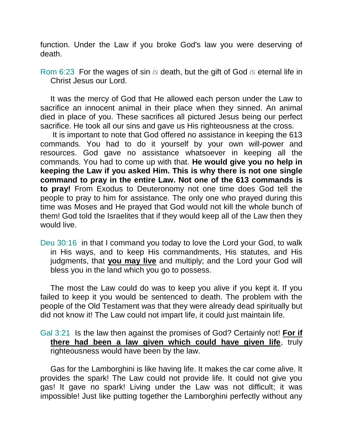function. Under the Law if you broke God's law you were deserving of death.

Rom 6:23 For the wages of sin *is* death, but the gift of God *is* eternal life in Christ Jesus our Lord.

It was the mercy of God that He allowed each person under the Law to sacrifice an innocent animal in their place when they sinned. An animal died in place of you. These sacrifices all pictured Jesus being our perfect sacrifice. He took all our sins and gave us His righteousness at the cross.

It is important to note that God offered no assistance in keeping the 613 commands. You had to do it yourself by your own will-power and resources. God gave no assistance whatsoever in keeping all the commands. You had to come up with that. **He would give you no help in keeping the Law if you asked Him. This is why there is not one single command to pray in the entire Law. Not one of the 613 commands is to pray!** From Exodus to Deuteronomy not one time does God tell the people to pray to him for assistance. The only one who prayed during this time was Moses and He prayed that God would not kill the whole bunch of them! God told the Israelites that if they would keep all of the Law then they would live.

Deu 30:16 in that I command you today to love the Lord your God, to walk in His ways, and to keep His commandments, His statutes, and His judgments, that **you may live** and multiply; and the Lord your God will bless you in the land which you go to possess.

The most the Law could do was to keep you alive if you kept it. If you failed to keep it you would be sentenced to death. The problem with the people of the Old Testament was that they were already dead spiritually but did not know it! The Law could not impart life, it could just maintain life.

Gal 3:21 Is the law then against the promises of God? Certainly not! **For if there had been a law given which could have given life**, truly righteousness would have been by the law.

Gas for the Lamborghini is like having life. It makes the car come alive. It provides the spark! The Law could not provide life. It could not give you gas! It gave no spark! Living under the Law was not difficult; it was impossible! Just like putting together the Lamborghini perfectly without any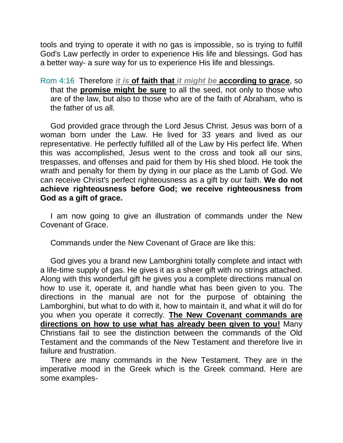tools and trying to operate it with no gas is impossible, so is trying to fulfill God's Law perfectly in order to experience His life and blessings. God has a better way- a sure way for us to experience His life and blessings.

Rom 4:16 Therefore *it is* **of faith that** *it might be* **according to grace**, so that the **promise might be sure** to all the seed, not only to those who are of the law, but also to those who are of the faith of Abraham, who is the father of us all.

God provided grace through the Lord Jesus Christ. Jesus was born of a woman born under the Law. He lived for 33 years and lived as our representative. He perfectly fulfilled all of the Law by His perfect life. When this was accomplished, Jesus went to the cross and took all our sins, trespasses, and offenses and paid for them by His shed blood. He took the wrath and penalty for them by dying in our place as the Lamb of God. We can receive Christ's perfect righteousness as a gift by our faith. **We do not achieve righteousness before God; we receive righteousness from God as a gift of grace.** 

I am now going to give an illustration of commands under the New Covenant of Grace.

Commands under the New Covenant of Grace are like this:

God gives you a brand new Lamborghini totally complete and intact with a life-time supply of gas. He gives it as a sheer gift with no strings attached. Along with this wonderful gift he gives you a complete directions manual on how to use it, operate it, and handle what has been given to you. The directions in the manual are not for the purpose of obtaining the Lamborghini, but what to do with it, how to maintain it, and what it will do for you when you operate it correctly. **The New Covenant commands are directions on how to use what has already been given to you!** Many Christians fail to see the distinction between the commands of the Old Testament and the commands of the New Testament and therefore live in failure and frustration.

There are many commands in the New Testament. They are in the imperative mood in the Greek which is the Greek command. Here are some examples-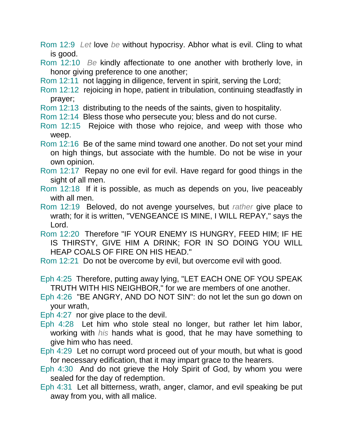- Rom 12:9 *Let* love *be* without hypocrisy. Abhor what is evil. Cling to what is good.
- Rom 12:10 *Be* kindly affectionate to one another with brotherly love, in honor giving preference to one another;
- Rom 12:11 not lagging in diligence, fervent in spirit, serving the Lord;
- Rom 12:12 rejoicing in hope, patient in tribulation, continuing steadfastly in prayer;
- Rom 12:13 distributing to the needs of the saints, given to hospitality.
- Rom 12:14 Bless those who persecute you; bless and do not curse.
- Rom 12:15 Rejoice with those who rejoice, and weep with those who weep.
- Rom 12:16 Be of the same mind toward one another. Do not set your mind on high things, but associate with the humble. Do not be wise in your own opinion.
- Rom 12:17 Repay no one evil for evil. Have regard for good things in the sight of all men.
- Rom 12:18 If it is possible, as much as depends on you, live peaceably with all men.
- Rom 12:19 Beloved, do not avenge yourselves, but *rather* give place to wrath; for it is written, "VENGEANCE IS MINE, I WILL REPAY," says the Lord.
- Rom 12:20 Therefore "IF YOUR ENEMY IS HUNGRY, FEED HIM; IF HE IS THIRSTY, GIVE HIM A DRINK; FOR IN SO DOING YOU WILL HEAP COALS OF FIRE ON HIS HEAD."
- Rom 12:21 Do not be overcome by evil, but overcome evil with good.
- Eph 4:25 Therefore, putting away lying, "LET EACH ONE OF YOU SPEAK TRUTH WITH HIS NEIGHBOR," for we are members of one another.
- Eph 4:26 "BE ANGRY, AND DO NOT SIN": do not let the sun go down on your wrath,
- Eph 4:27 nor give place to the devil.
- Eph 4:28 Let him who stole steal no longer, but rather let him labor, working with *his* hands what is good, that he may have something to give him who has need.
- Eph 4:29 Let no corrupt word proceed out of your mouth, but what is good for necessary edification, that it may impart grace to the hearers.
- Eph 4:30 And do not grieve the Holy Spirit of God, by whom you were sealed for the day of redemption.
- Eph 4:31 Let all bitterness, wrath, anger, clamor, and evil speaking be put away from you, with all malice.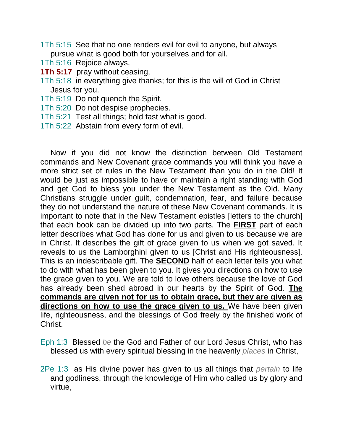- 1Th 5:15 See that no one renders evil for evil to anyone, but always pursue what is good both for yourselves and for all.
- 1Th 5:16 Rejoice always,
- **1Th 5:17** pray without ceasing,
- 1Th 5:18 in everything give thanks; for this is the will of God in Christ Jesus for you.
- 1Th 5:19 Do not quench the Spirit.
- 1Th 5:20 Do not despise prophecies.
- 1Th 5:21 Test all things; hold fast what is good.
- 1Th 5:22 Abstain from every form of evil.

Now if you did not know the distinction between Old Testament commands and New Covenant grace commands you will think you have a more strict set of rules in the New Testament than you do in the Old! It would be just as impossible to have or maintain a right standing with God and get God to bless you under the New Testament as the Old. Many Christians struggle under guilt, condemnation, fear, and failure because they do not understand the nature of these New Covenant commands. It is important to note that in the New Testament epistles [letters to the church] that each book can be divided up into two parts. The **FIRST** part of each letter describes what God has done for us and given to us because we are in Christ. It describes the gift of grace given to us when we got saved. It reveals to us the Lamborghini given to us [Christ and His righteousness]. This is an indescribable gift. The **SECOND** half of each letter tells you what to do with what has been given to you. It gives you directions on how to use the grace given to you. We are told to love others because the love of God has already been shed abroad in our hearts by the Spirit of God. **The commands are given not for us to obtain grace, but they are given as directions on how to use the grace given to us.** We have been given life, righteousness, and the blessings of God freely by the finished work of Christ.

- Eph 1:3 Blessed *be* the God and Father of our Lord Jesus Christ, who has blessed us with every spiritual blessing in the heavenly *places* in Christ,
- 2Pe 1:3 as His divine power has given to us all things that *pertain* to life and godliness, through the knowledge of Him who called us by glory and virtue,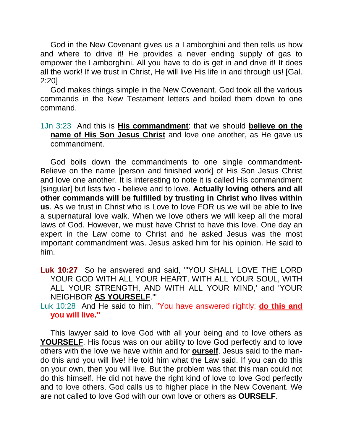God in the New Covenant gives us a Lamborghini and then tells us how and where to drive it! He provides a never ending supply of gas to empower the Lamborghini. All you have to do is get in and drive it! It does all the work! If we trust in Christ, He will live His life in and through us! [Gal. 2:20]

God makes things simple in the New Covenant. God took all the various commands in the New Testament letters and boiled them down to one command.

1Jn 3:23 And this is **His commandment**: that we should **believe on the name of His Son Jesus Christ** and love one another, as He gave us commandment.

God boils down the commandments to one single commandment-Believe on the name [person and finished work] of His Son Jesus Christ and love one another. It is interesting to note it is called His commandment [singular] but lists two - believe and to love. **Actually loving others and all other commands will be fulfilled by trusting in Christ who lives within us**. As we trust in Christ who is Love to love FOR us we will be able to live a supernatural love walk. When we love others we will keep all the moral laws of God. However, we must have Christ to have this love. One day an expert in the Law come to Christ and he asked Jesus was the most important commandment was. Jesus asked him for his opinion. He said to him.

**Luk 10:27** So he answered and said, "'YOU SHALL LOVE THE LORD YOUR GOD WITH ALL YOUR HEART, WITH ALL YOUR SOUL, WITH ALL YOUR STRENGTH, AND WITH ALL YOUR MIND,' and 'YOUR NEIGHBOR **AS YOURSELF**.'"

Luk 10:28 And He said to him, "You have answered rightly; **do this and you will live."**

This lawyer said to love God with all your being and to love others as **YOURSELF**. His focus was on our ability to love God perfectly and to love others with the love we have within and for **ourself**. Jesus said to the mando this and you will live! He told him what the Law said. If you can do this on your own, then you will live. But the problem was that this man could not do this himself. He did not have the right kind of love to love God perfectly and to love others. God calls us to higher place in the New Covenant. We are not called to love God with our own love or others as **OURSELF**.